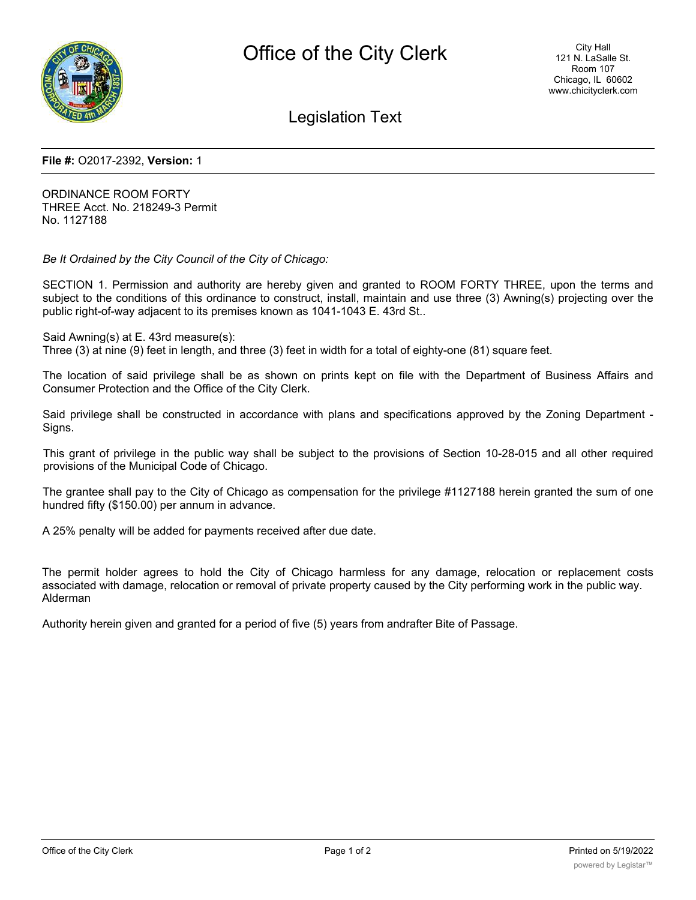

Legislation Text

#### **File #:** O2017-2392, **Version:** 1

ORDINANCE ROOM FORTY THREE Acct. No. 218249-3 Permit No. 1127188

*Be It Ordained by the City Council of the City of Chicago:*

SECTION 1. Permission and authority are hereby given and granted to ROOM FORTY THREE, upon the terms and subject to the conditions of this ordinance to construct, install, maintain and use three (3) Awning(s) projecting over the public right-of-way adjacent to its premises known as 1041-1043 E. 43rd St..

Said Awning(s) at E. 43rd measure(s):

Three (3) at nine (9) feet in length, and three (3) feet in width for a total of eighty-one (81) square feet.

The location of said privilege shall be as shown on prints kept on file with the Department of Business Affairs and Consumer Protection and the Office of the City Clerk.

Said privilege shall be constructed in accordance with plans and specifications approved by the Zoning Department - Signs.

This grant of privilege in the public way shall be subject to the provisions of Section 10-28-015 and all other required provisions of the Municipal Code of Chicago.

The grantee shall pay to the City of Chicago as compensation for the privilege #1127188 herein granted the sum of one hundred fifty (\$150.00) per annum in advance.

A 25% penalty will be added for payments received after due date.

The permit holder agrees to hold the City of Chicago harmless for any damage, relocation or replacement costs associated with damage, relocation or removal of private property caused by the City performing work in the public way. Alderman

Authority herein given and granted for a period of five (5) years from andrafter Bite of Passage.